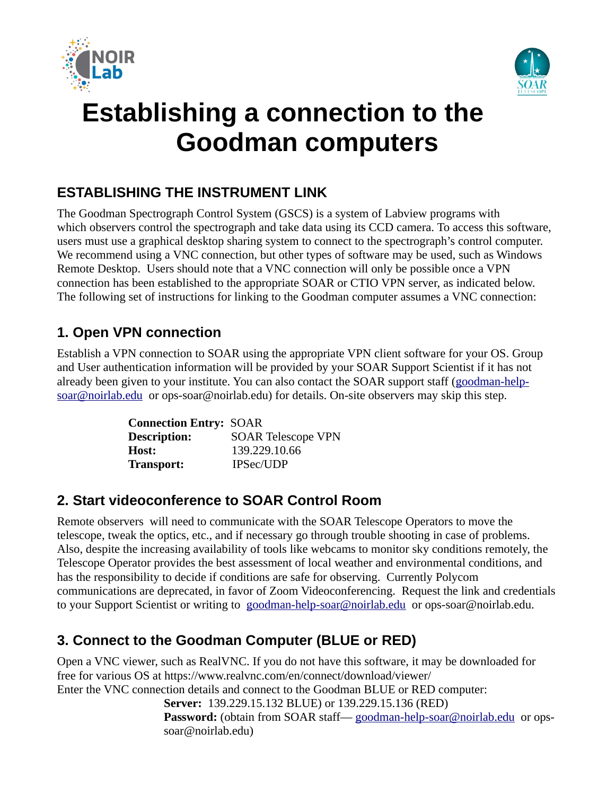



# **Establishing a connection to the Goodman computers**

### **ESTABLISHING THE INSTRUMENT LINK**

The Goodman Spectrograph Control System (GSCS) is a system of Labview programs with which observers control the spectrograph and take data using its CCD camera. To access this software, users must use a graphical desktop sharing system to connect to the spectrograph's control computer. We recommend using a VNC connection, but other types of software may be used, such as Windows Remote Desktop. Users should note that a VNC connection will only be possible once a VPN connection has been established to the appropriate SOAR or CTIO VPN server, as indicated below. The following set of instructions for linking to the Goodman computer assumes a VNC connection:

#### **1. Open VPN connection**

Establish a VPN connection to SOAR using the appropriate VPN client software for your OS. Group and User authentication information will be provided by your SOAR Support Scientist if it has not already been given to your institute. You can also contact the SOAR support staff ([goodman-help](mailto:goodman-help-soar@noirlab.edu)[soar@noirlab.edu](mailto:goodman-help-soar@noirlab.edu) or ops-soar@noirlab.edu) for details. On-site observers may skip this step.

| <b>Connection Entry: SOAR</b> |                           |
|-------------------------------|---------------------------|
| <b>Description:</b>           | <b>SOAR Telescope VPN</b> |
| Host:                         | 139.229.10.66             |
| <b>Transport:</b>             | <b>IPSec/UDP</b>          |

#### **2. Start videoconference to SOAR Control Room**

Remote observers will need to communicate with the SOAR Telescope Operators to move the telescope, tweak the optics, etc., and if necessary go through trouble shooting in case of problems. Also, despite the increasing availability of tools like webcams to monitor sky conditions remotely, the Telescope Operator provides the best assessment of local weather and environmental conditions, and has the responsibility to decide if conditions are safe for observing. Currently Polycom communications are deprecated, in favor of Zoom Videoconferencing. Request the link and credentials to your Support Scientist or writing to [goodman-help-soar@noirlab.edu](mailto:goodman-help-soar@noirlab.edu) or ops-soar@noirlab.edu.

#### **3. Connect to the Goodman Computer (BLUE or RED)**

Open a VNC viewer, such as RealVNC. If you do not have this software, it may be downloaded for free for various OS at https://www.realvnc.com/en/connect/download/viewer/ Enter the VNC connection details and connect to the Goodman BLUE or RED computer: **Server:** 139.229.15.132 BLUE) or 139.229.15.136 (RED)

**Password:** (obtain from SOAR staff— [goodman-help-soar@noirlab.edu](mailto:goodman-help-soar@noirlab.edu) or opssoar@noirlab.edu)